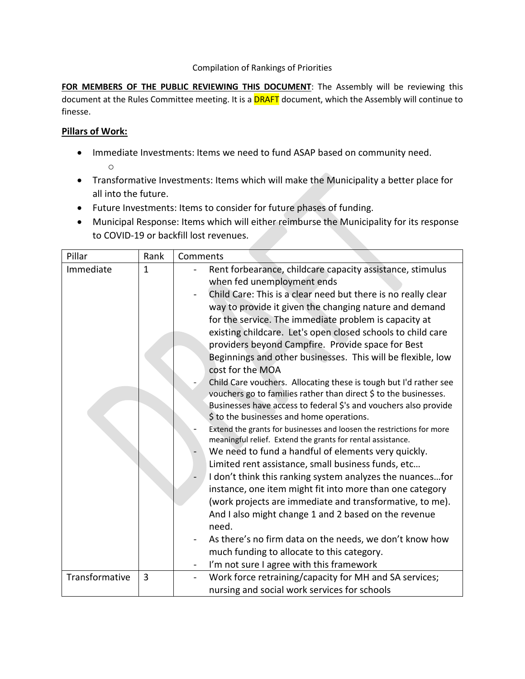## Compilation of Rankings of Priorities

FOR MEMBERS OF THE PUBLIC REVIEWING THIS DOCUMENT: The Assembly will be reviewing this document at the Rules Committee meeting. It is a **DRAFT** document, which the Assembly will continue to finesse.

## **Pillars of Work:**

- Immediate Investments: Items we need to fund ASAP based on community need. o
- Transformative Investments: Items which will make the Municipality a better place for all into the future.
- Future Investments: Items to consider for future phases of funding.
- Municipal Response: Items which will either reimburse the Municipality for its response to COVID-19 or backfill lost revenues.

| Pillar                      | Rank              | Comments                                                                                                                                                                                                                                                                                                                                                                                                                                                                                                                                                                                                                                                                                                                                                                                                                                                                                                                                                                                                                                                                                                                                                                                                                                                                                                                                                                                                                                                               |
|-----------------------------|-------------------|------------------------------------------------------------------------------------------------------------------------------------------------------------------------------------------------------------------------------------------------------------------------------------------------------------------------------------------------------------------------------------------------------------------------------------------------------------------------------------------------------------------------------------------------------------------------------------------------------------------------------------------------------------------------------------------------------------------------------------------------------------------------------------------------------------------------------------------------------------------------------------------------------------------------------------------------------------------------------------------------------------------------------------------------------------------------------------------------------------------------------------------------------------------------------------------------------------------------------------------------------------------------------------------------------------------------------------------------------------------------------------------------------------------------------------------------------------------------|
| Immediate<br>Transformative | $\mathbf{1}$<br>3 | Rent forbearance, childcare capacity assistance, stimulus<br>when fed unemployment ends<br>Child Care: This is a clear need but there is no really clear<br>way to provide it given the changing nature and demand<br>for the service. The immediate problem is capacity at<br>existing childcare. Let's open closed schools to child care<br>providers beyond Campfire. Provide space for Best<br>Beginnings and other businesses. This will be flexible, low<br>cost for the MOA<br>Child Care vouchers. Allocating these is tough but I'd rather see<br>vouchers go to families rather than direct \$ to the businesses.<br>Businesses have access to federal \$'s and vouchers also provide<br>\$ to the businesses and home operations.<br>Extend the grants for businesses and loosen the restrictions for more<br>meaningful relief. Extend the grants for rental assistance.<br>We need to fund a handful of elements very quickly.<br>Limited rent assistance, small business funds, etc<br>I don't think this ranking system analyzes the nuancesfor<br>instance, one item might fit into more than one category<br>(work projects are immediate and transformative, to me).<br>And I also might change 1 and 2 based on the revenue<br>need.<br>As there's no firm data on the needs, we don't know how<br>much funding to allocate to this category.<br>I'm not sure I agree with this framework<br>Work force retraining/capacity for MH and SA services; |
|                             |                   | nursing and social work services for schools                                                                                                                                                                                                                                                                                                                                                                                                                                                                                                                                                                                                                                                                                                                                                                                                                                                                                                                                                                                                                                                                                                                                                                                                                                                                                                                                                                                                                           |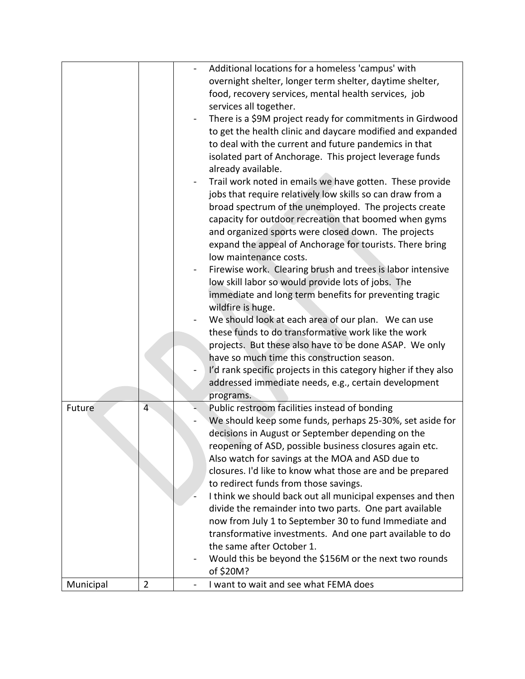|           |                | Additional locations for a homeless 'campus' with                             |
|-----------|----------------|-------------------------------------------------------------------------------|
|           |                | overnight shelter, longer term shelter, daytime shelter,                      |
|           |                | food, recovery services, mental health services, job                          |
|           |                | services all together.                                                        |
|           |                | There is a \$9M project ready for commitments in Girdwood                     |
|           |                | to get the health clinic and daycare modified and expanded                    |
|           |                |                                                                               |
|           |                | to deal with the current and future pandemics in that                         |
|           |                | isolated part of Anchorage. This project leverage funds<br>already available. |
|           |                | Trail work noted in emails we have gotten. These provide                      |
|           |                | jobs that require relatively low skills so can draw from a                    |
|           |                | broad spectrum of the unemployed. The projects create                         |
|           |                | capacity for outdoor recreation that boomed when gyms                         |
|           |                | and organized sports were closed down. The projects                           |
|           |                |                                                                               |
|           |                | expand the appeal of Anchorage for tourists. There bring                      |
|           |                | low maintenance costs.                                                        |
|           |                | Firewise work. Clearing brush and trees is labor intensive                    |
|           |                | low skill labor so would provide lots of jobs. The                            |
|           |                | immediate and long term benefits for preventing tragic                        |
|           |                | wildfire is huge.                                                             |
|           |                | We should look at each area of our plan. We can use                           |
|           |                | these funds to do transformative work like the work                           |
|           |                | projects. But these also have to be done ASAP. We only                        |
|           |                | have so much time this construction season.                                   |
|           |                | I'd rank specific projects in this category higher if they also               |
|           |                | addressed immediate needs, e.g., certain development                          |
|           |                | programs.                                                                     |
| Future    | $\overline{4}$ | Public restroom facilities instead of bonding                                 |
|           |                | We should keep some funds, perhaps 25-30%, set aside for                      |
|           |                | decisions in August or September depending on the                             |
|           |                | reopening of ASD, possible business closures again etc.                       |
|           |                | Also watch for savings at the MOA and ASD due to                              |
|           |                | closures. I'd like to know what those are and be prepared                     |
|           |                | to redirect funds from those savings.                                         |
|           |                | I think we should back out all municipal expenses and then                    |
|           |                | divide the remainder into two parts. One part available                       |
|           |                | now from July 1 to September 30 to fund Immediate and                         |
|           |                | transformative investments. And one part available to do                      |
|           |                | the same after October 1.                                                     |
|           |                | Would this be beyond the \$156M or the next two rounds                        |
|           |                | of \$20M?                                                                     |
| Municipal | $\overline{2}$ | I want to wait and see what FEMA does                                         |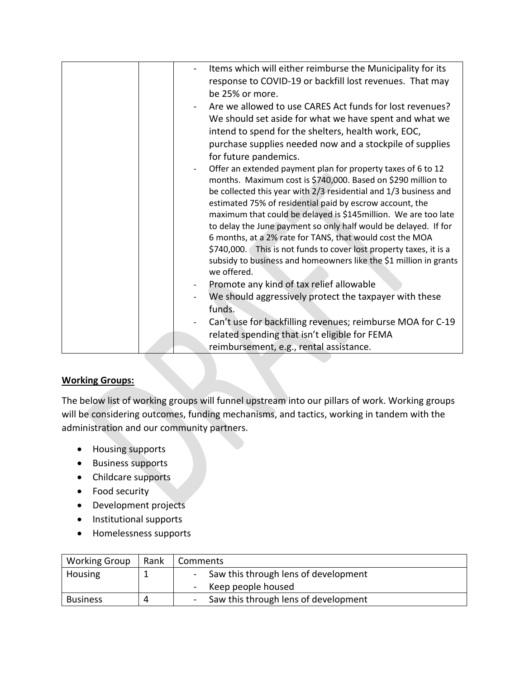| Items which will either reimburse the Municipality for its                       |
|----------------------------------------------------------------------------------|
| response to COVID-19 or backfill lost revenues. That may                         |
| be 25% or more.                                                                  |
| Are we allowed to use CARES Act funds for lost revenues?                         |
| We should set aside for what we have spent and what we                           |
| intend to spend for the shelters, health work, EOC,                              |
| purchase supplies needed now and a stockpile of supplies                         |
| for future pandemics.                                                            |
| Offer an extended payment plan for property taxes of 6 to 12                     |
| months. Maximum cost is \$740,000. Based on \$290 million to                     |
| be collected this year with 2/3 residential and 1/3 business and                 |
| estimated 75% of residential paid by escrow account, the                         |
| maximum that could be delayed is \$145million. We are too late                   |
| to delay the June payment so only half would be delayed. If for                  |
| 6 months, at a 2% rate for TANS, that would cost the MOA                         |
| \$740,000. This is not funds to cover lost property taxes, it is a               |
| subsidy to business and homeowners like the \$1 million in grants<br>we offered. |
|                                                                                  |
| Promote any kind of tax relief allowable                                         |
| We should aggressively protect the taxpayer with these                           |
| funds.                                                                           |
| Can't use for backfilling revenues; reimburse MOA for C-19                       |
| related spending that isn't eligible for FEMA                                    |
| reimbursement, e.g., rental assistance.                                          |

## **Working Groups:**

The below list of working groups will funnel upstream into our pillars of work. Working groups will be considering outcomes, funding mechanisms, and tactics, working in tandem with the administration and our community partners.

- Housing supports
- Business supports
- Childcare supports
- Food security
- Development projects
- Institutional supports
- Homelessness supports

| <b>Working Group</b> | Rank | Comments                                                         |  |
|----------------------|------|------------------------------------------------------------------|--|
| Housing              |      | Saw this through lens of development                             |  |
|                      |      | Keep people housed<br>$\overline{\phantom{m}}$                   |  |
| <b>Business</b>      |      | Saw this through lens of development<br>$\overline{\phantom{a}}$ |  |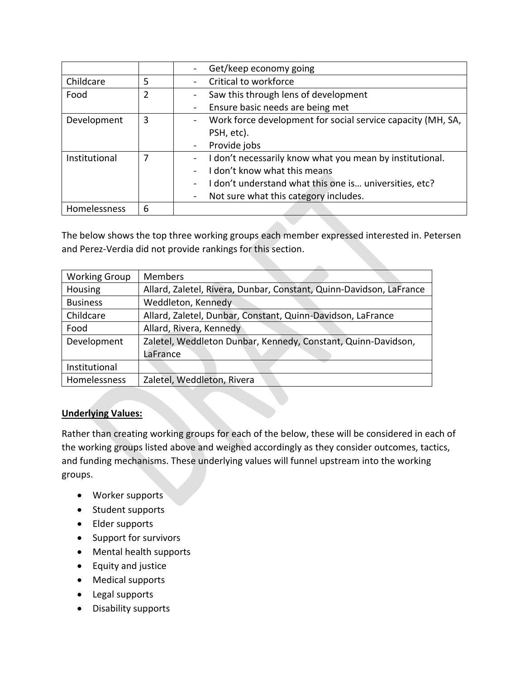|               |   | Get/keep economy going                                      |
|---------------|---|-------------------------------------------------------------|
| Childcare     | 5 | Critical to workforce                                       |
| Food          | 2 | Saw this through lens of development                        |
|               |   | Ensure basic needs are being met                            |
| Development   | 3 | Work force development for social service capacity (MH, SA, |
|               |   | PSH, etc).                                                  |
|               |   | Provide jobs<br>$\blacksquare$                              |
| Institutional |   | I don't necessarily know what you mean by institutional.    |
|               |   | I don't know what this means                                |
|               |   | I don't understand what this one is universities, etc?      |
|               |   | Not sure what this category includes.<br>$\blacksquare$     |
| Homelessness  | 6 |                                                             |

The below shows the top three working groups each member expressed interested in. Petersen and Perez-Verdia did not provide rankings for this section.

| <b>Working Group</b> | <b>Members</b>                                                      |  |  |
|----------------------|---------------------------------------------------------------------|--|--|
| Housing              | Allard, Zaletel, Rivera, Dunbar, Constant, Quinn-Davidson, LaFrance |  |  |
| <b>Business</b>      | Weddleton, Kennedy                                                  |  |  |
| Childcare            | Allard, Zaletel, Dunbar, Constant, Quinn-Davidson, LaFrance         |  |  |
| Food                 | Allard, Rivera, Kennedy                                             |  |  |
| Development          | Zaletel, Weddleton Dunbar, Kennedy, Constant, Quinn-Davidson,       |  |  |
|                      | LaFrance                                                            |  |  |
| Institutional        |                                                                     |  |  |
| Homelessness         | Zaletel, Weddleton, Rivera                                          |  |  |

## **Underlying Values:**

Rather than creating working groups for each of the below, these will be considered in each of the working groups listed above and weighed accordingly as they consider outcomes, tactics, and funding mechanisms. These underlying values will funnel upstream into the working groups.

- Worker supports
- Student supports
- Elder supports
- Support for survivors
- Mental health supports
- Equity and justice
- Medical supports
- Legal supports
- Disability supports